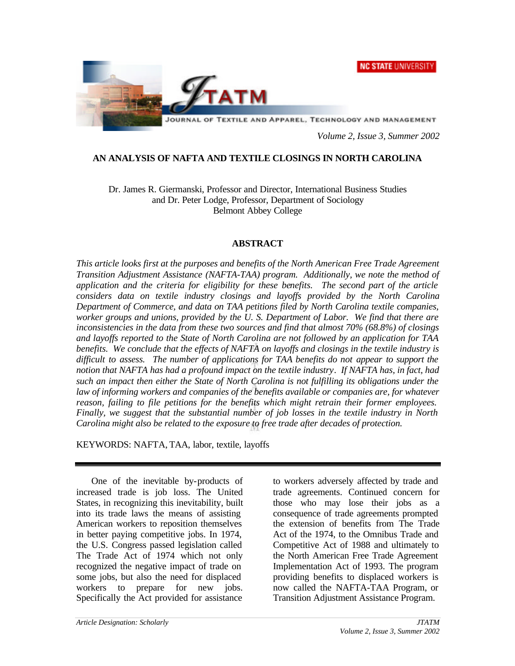**NC STATE UNIVERSITY** 



*Volume 2, Issue 3, Summer 2002*

# **AN ANALYSIS OF NAFTA AND TEXTILE CLOSINGS IN NORTH CAROLINA**

Dr. James R. Giermanski, Professor and Director, International Business Studies and Dr. Peter Lodge, Professor, Department of Sociology Belmont Abbey College

### **ABSTRACT**

*This article looks first at the purposes and benefits of the North American Free Trade Agreement Transition Adjustment Assistance (NAFTA-TAA) program. Additionally, we note the method of application and the criteria for eligibility for these benefits. The second part of the article considers data on textile industry closings and layoffs provided by the North Carolina Department of Commerce, and data on TAA petitions filed by North Carolina textile companies, worker groups and unions, provided by the U. S. Department of Labor. We find that there are inconsistencies in the data from these two sources and find that almost 70% (68.8%) of closings and layoffs reported to the State of North Carolina are not followed by an application for TAA benefits. We conclude that the effects of NAFTA on layoffs and closings in the textile industry is difficult to assess. The number of applications for TAA benefits do not appear to support the notion that NAFTA has had a profound impact on the textile industry. If NAFTA has, in fact, had such an impact then either the State of North Carolina is not fulfilling its obligations under the law of informing workers and companies of the benefits available or companies are, for whatever reason, failing to file petitions for the benefits which might retrain their former employees. Finally, we suggest that the substantial number of job losses in the textile industry in North Carolina might also be related to the exposure to free trade after decades of protection.*

KEYWORDS: NAFTA, TAA, labor, textile, layoffs

One of the inevitable by-products of increased trade is job loss. The United States, in recognizing this inevitability, built into its trade laws the means of assisting American workers to reposition themselves in better paying competitive jobs. In 1974, the U.S. Congress passed legislation called The Trade Act of 1974 which not only recognized the negative impact of trade on some jobs, but also the need for displaced workers to prepare for new jobs. Specifically the Act provided for assistance

to workers adversely affected by trade and trade agreements. Continued concern for those who may lose their jobs as a consequence of trade agreements prompted the extension of benefits from The Trade Act of the 1974, to the Omnibus Trade and Competitive Act of 1988 and ultimately to the North American Free Trade Agreement Implementation Act of 1993. The program providing benefits to displaced workers is now called the NAFTA-TAA Program, or Transition Adjustment Assistance Program.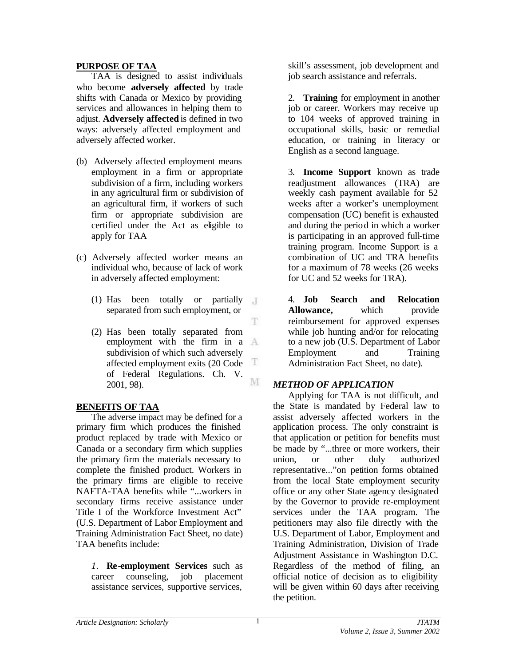# **PURPOSE OF TAA**

TAA is designed to assist individuals who become **adversely affected** by trade shifts with Canada or Mexico by providing services and allowances in helping them to adjust. **Adversely affected** is defined in two ways: adversely affected employment and adversely affected worker.

- (b) Adversely affected employment means employment in a firm or appropriate subdivision of a firm, including workers in any agricultural firm or subdivision of an agricultural firm, if workers of such firm or appropriate subdivision are certified under the Act as eligible to apply for TAA
- (c) Adversely affected worker means an individual who, because of lack of work in adversely affected employment:
	- (1) Has been totally or partially  $\pi$ separated from such employment, or
	- (2) Has been totally separated from employment with the firm in a subdivision of which such adversely Ŧ affected employment exits (20 Code of Federal Regulations. Ch. V. M 2001, 98).

# **BENEFITS OF TAA**

The adverse impact may be defined for a primary firm which produces the finished product replaced by trade with Mexico or Canada or a secondary firm which supplies the primary firm the materials necessary to complete the finished product. Workers in the primary firms are eligible to receive NAFTA-TAA benefits while "...workers in secondary firms receive assistance under Title I of the Workforce Investment Act" (U.S. Department of Labor Employment and Training Administration Fact Sheet, no date) TAA benefits include:

*1.* **Re-employment Services** such as career counseling, job placement assistance services, supportive services,

skill's assessment, job development and job search assistance and referrals.

2. **Training** for employment in another job or career. Workers may receive up to 104 weeks of approved training in occupational skills, basic or remedial education, or training in literacy or English as a second language.

3. **Income Support** known as trade readjustment allowances (TRA) are weekly cash payment available for 52 weeks after a worker's unemployment compensation (UC) benefit is exhausted and during the period in which a worker is participating in an approved full-time training program. Income Support is a combination of UC and TRA benefits for a maximum of 78 weeks (26 weeks for UC and 52 weeks for TRA).

4. **Job Search and Relocation Allowance,** which provide reimbursement for approved expenses while job hunting and/or for relocating to a new job (U.S. Department of Labor Employment and Training Administration Fact Sheet, no date)*.*

# *METHOD OF APPLICATION*

Applying for TAA is not difficult, and the State is mandated by Federal law to assist adversely affected workers in the application process. The only constraint is that application or petition for benefits must be made by "...three or more workers, their union, or other duly authorized representative..."on petition forms obtained from the local State employment security office or any other State agency designated by the Governor to provide re-employment services under the TAA program. The petitioners may also file directly with the U.S. Department of Labor, Employment and Training Administration, Division of Trade Adjustment Assistance in Washington D.C. Regardless of the method of filing, an official notice of decision as to eligibility will be given within 60 days after receiving the petition.

Ŧ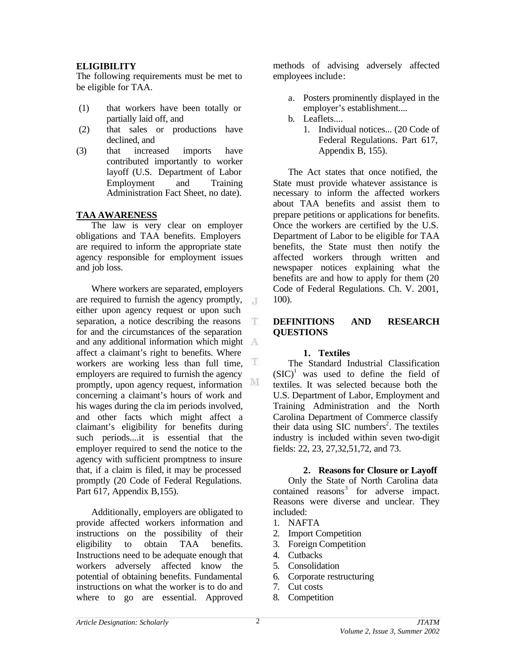# **ELIGIBILITY**

The following requirements must be met to be eligible for TAA.

- (1) that workers have been totally or partially laid off, and
- (2) that sales or productions have declined, and
- (3) that increased imports have contributed importantly to worker layoff (U.S. Department of Labor Employment and Training Administration Fact Sheet, no date).

# **TAA AWARENESS**

The law is very clear on employer obligations and TAA benefits. Employers are required to inform the appropriate state agency responsible for employment issues and job loss.

Where workers are separated, employers are required to furnish the agency promptly,  $\overline{A}$ either upon agency request or upon such separation, a notice describing the reasons T. for and the circumstances of the separation and any additional information which might affect a claimant's right to benefits. Where æ workers are working less than full time, employers are required to furnish the agency M promptly, upon agency request, information concerning a claimant's hours of work and his wages during the cla im periods involved, and other facts which might affect a claimant's eligibility for benefits during such periods....it is essential that the employer required to send the notice to the agency with sufficient promptness to insure that, if a claim is filed, it may be processed promptly (20 Code of Federal Regulations. Part 617, Appendix B, 155).

Additionally, employers are obligated to provide affected workers information and instructions on the possibility of their eligibility to obtain TAA benefits. Instructions need to be adequate enough that workers adversely affected know the potential of obtaining benefits. Fundamental instructions on what the worker is to do and where to go are essential. Approved

methods of advising adversely affected employees include:

- a. Posters prominently displayed in the employer's establishment....
- b. Leaflets....
	- 1. Individual notices... (20 Code of Federal Regulations. Part 617, Appendix B, 155).

The Act states that once notified, the State must provide whatever assistance is necessary to inform the affected workers about TAA benefits and assist them to prepare petitions or applications for benefits. Once the workers are certified by the U.S. Department of Labor to be eligible for TAA benefits, the State must then notify the affected workers through written and newspaper notices explaining what the benefits are and how to apply for them (20 Code of Federal Regulations. Ch. V. 2001, 100).

# **DEFINITIONS AND RESEARCH QUESTIONS**

### **1. Textiles**

The Standard Industrial Classification  $(SIC)^1$  was used to define the field of textiles. It was selected because both the U.S. Department of Labor, Employment and Training Administration and the North Carolina Department of Commerce classify their data using SIC numbers<sup>2</sup>. The textiles industry is included within seven two-digit fields: 22, 23, 27,32,51,72, and 73.

### **2. Reasons for Closure or Layoff**

Only the State of North Carolina data contained reasons<sup>3</sup> for adverse impact. Reasons were diverse and unclear. They included:

- 1. NAFTA
- 2. Import Competition
- 3. Foreign Competition
- 4. Cutbacks
- 5. Consolidation
- 6. Corporate restructuring
- 7. Cut costs
- 8. Competition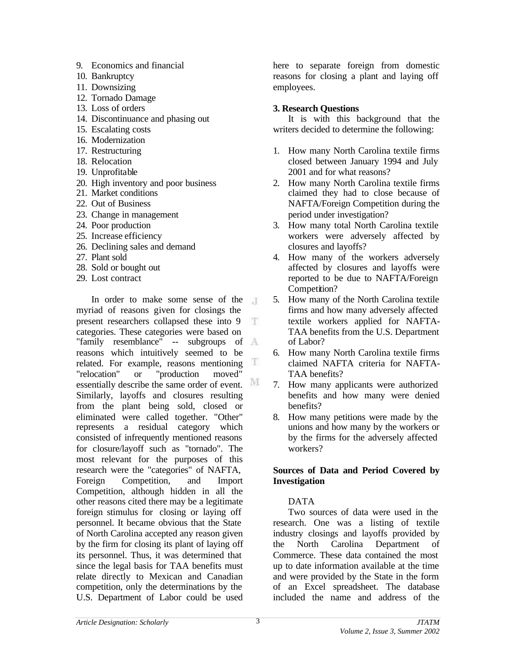- 9. Economics and financial
- 10. Bankruptcy
- 11. Downsizing
- 12. Tornado Damage
- 13. Loss of orders
- 14. Discontinuance and phasing out
- 15. Escalating costs
- 16. Modernization
- 17. Restructuring
- 18. Relocation
- 19. Unprofitable
- 20. High inventory and poor business
- 21. Market conditions
- 22. Out of Business
- 23. Change in management
- 24. Poor production
- 25. Increase efficiency
- 26. Declining sales and demand
- 27. Plant sold
- 28. Sold or bought out
- 29. Lost contract

In order to make some sense of the myriad of reasons given for closings the present researchers collapsed these into 9 Æ. categories. These categories were based on "family resemblance" -- subgroups of reasons which intuitively seemed to be T related. For example, reasons mentioning "relocation" or "production moved" essentially describe the same order of event. M Similarly, layoffs and closures resulting from the plant being sold, closed or eliminated were called together. "Other" represents a residual category which consisted of infrequently mentioned reasons for closure/layoff such as "tornado". The most relevant for the purposes of this research were the "categories" of NAFTA, Foreign Competition, and Import Competition, although hidden in all the other reasons cited there may be a legitimate foreign stimulus for closing or laying off personnel. It became obvious that the State of North Carolina accepted any reason given by the firm for closing its plant of laying off its personnel. Thus, it was determined that since the legal basis for TAA benefits must relate directly to Mexican and Canadian competition, only the determinations by the U.S. Department of Labor could be used

here to separate foreign from domestic reasons for closing a plant and laying off employees.

# **3. Research Questions**

It is with this background that the writers decided to determine the following:

- 1. How many North Carolina textile firms closed between January 1994 and July 2001 and for what reasons?
- 2. How many North Carolina textile firms claimed they had to close because of NAFTA/Foreign Competition during the period under investigation?
- 3. How many total North Carolina textile workers were adversely affected by closures and layoffs?
- 4. How many of the workers adversely affected by closures and layoffs were reported to be due to NAFTA/Foreign Competition?
- 5. How many of the North Carolina textile firms and how many adversely affected textile workers applied for NAFTA-TAA benefits from the U.S. Department of Labor?
- 6. How many North Carolina textile firms claimed NAFTA criteria for NAFTA-TAA benefits?
- 7. How many applicants were authorized benefits and how many were denied benefits?
- 8. How many petitions were made by the unions and how many by the workers or by the firms for the adversely affected workers?

# **Sources of Data and Period Covered by Investigation**

# DATA

Two sources of data were used in the research. One was a listing of textile industry closings and layoffs provided by the North Carolina Department of Commerce. These data contained the most up to date information available at the time and were provided by the State in the form of an Excel spreadsheet. The database included the name and address of the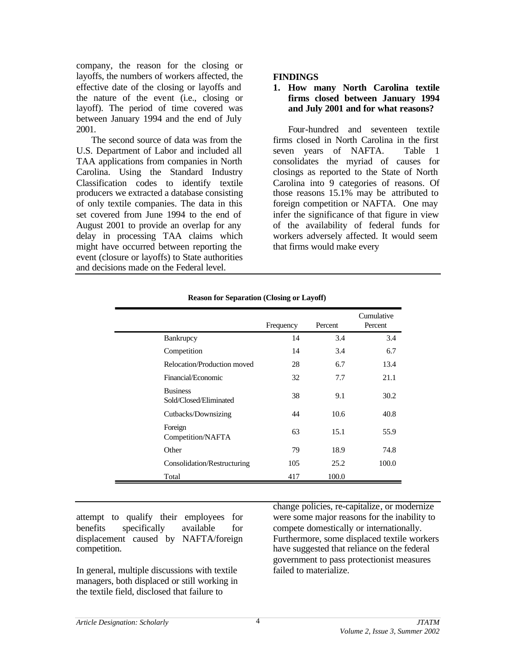company, the reason for the closing or layoffs, the numbers of workers affected, the effective date of the closing or layoffs and the nature of the event (i.e., closing or layoff). The period of time covered was between January 1994 and the end of July 2001.

The second source of data was from the U.S. Department of Labor and included all TAA applications from companies in North Carolina. Using the Standard Industry Classification codes to identify textile producers we extracted a database consisting of only textile companies. The data in this set covered from June 1994 to the end of August 2001 to provide an overlap for any delay in processing TAA claims which might have occurred between reporting the event (closure or layoffs) to State authorities and decisions made on the Federal level.

### **FINDINGS**

### **1. How many North Carolina textile firms closed between January 1994 and July 2001 and for what reasons?**

Four-hundred and seventeen textile firms closed in North Carolina in the first seven years of NAFTA. Table 1 consolidates the myriad of causes for closings as reported to the State of North Carolina into 9 categories of reasons. Of those reasons 15.1% may be attributed to foreign competition or NAFTA. One may infer the significance of that figure in view of the availability of federal funds for workers adversely affected. It would seem that firms would make every

|                                           | Frequency | Percent | Cumulative<br>Percent |
|-------------------------------------------|-----------|---------|-----------------------|
| Bankrupcy                                 | 14        | 3.4     | 3.4                   |
| Competition                               | 14        | 3.4     | 6.7                   |
| Relocation/Production moved               | 28        | 6.7     | 13.4                  |
| Financial/Economic                        | 32        | 7.7     | 21.1                  |
| <b>Business</b><br>Sold/Closed/Eliminated | 38        | 9.1     | 30.2                  |
| Cutbacks/Downsizing                       | 44        | 10.6    | 40.8                  |
| Foreign<br>Competition/NAFTA              | 63        | 15.1    | 55.9                  |
| Other                                     | 79        | 18.9    | 74.8                  |
| Consolidation/Restructuring               | 105       | 25.2    | 100.0                 |
| Total                                     | 417       | 100.0   |                       |

#### **Reason for Separation (Closing or Layoff)**

attempt to qualify their employees for benefits specifically available for displacement caused by NAFTA/foreign competition.

In general, multiple discussions with textile managers, both displaced or still working in the textile field, disclosed that failure to

change policies, re-capitalize, or modernize were some major reasons for the inability to compete domestically or internationally. Furthermore, some displaced textile workers have suggested that reliance on the federal government to pass protectionist measures failed to materialize.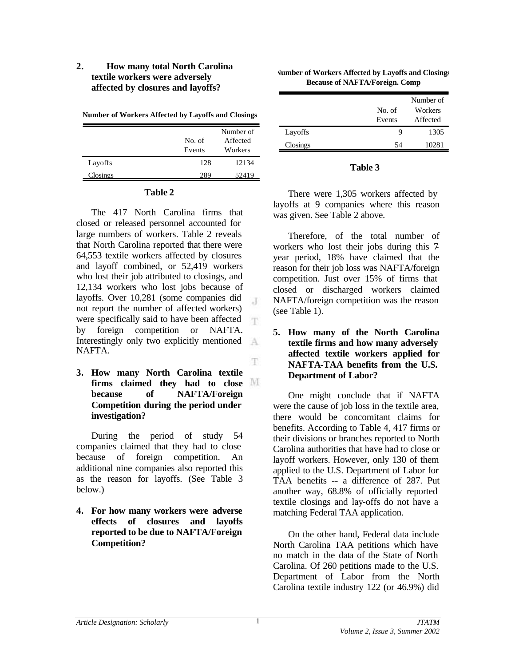# **2. How many total North Carolina textile workers were adversely affected by closures and layoffs?**

**Number of Workers Affected by Layoffs and Closings**

|          | No. of<br>Events | Number of<br>Affected<br>Workers |
|----------|------------------|----------------------------------|
| Layoffs  | 128              | 12134                            |
| Closings | 289              | 52419                            |

### **Table 2**

The 417 North Carolina firms that closed or released personnel accounted for large numbers of workers. Table 2 reveals that North Carolina reported that there were 64,553 textile workers affected by closures and layoff combined, or 52,419 workers who lost their job attributed to closings, and 12,134 workers who lost jobs because of layoffs. Over 10,281 (some companies did  $\overline{A}$ not report the number of affected workers) were specifically said to have been affected T. by foreign competition or NAFTA. Interestingly only two explicitly mentioned  $A$ NAFTA.

**3. How many North Carolina textile firms claimed they had to close because of NAFTA/Foreign Competition during the period under investigation?**

During the period of study 54 companies claimed that they had to close because of foreign competition. An additional nine companies also reported this as the reason for layoffs. (See Table 3 below.)

**4. For how many workers were adverse effects of closures and layoffs reported to be due to NAFTA/Foreign Competition?**

| <b>Number of Workers Affected by Layoffs and Closings</b> |  |
|-----------------------------------------------------------|--|
| <b>Because of NAFTA/Foreign. Comp</b>                     |  |

|          |        | Number of |
|----------|--------|-----------|
|          | No. of | Workers   |
|          | Events | Affected  |
| Layoffs  | Q      | 1305      |
| Closings | 54     | 10281     |

### **Table 3**

There were 1,305 workers affected by layoffs at 9 companies where this reason was given. See Table 2 above.

Therefore, of the total number of workers who lost their jobs during this 7 year period, 18% have claimed that the reason for their job loss was NAFTA/foreign competition. Just over 15% of firms that closed or discharged workers claimed NAFTA/foreign competition was the reason (see Table 1).

**5. How many of the North Carolina textile firms and how many adversely affected textile workers applied for NAFTA-TAA benefits from the U.S. Department of Labor?**

One might conclude that if NAFTA were the cause of job loss in the textile area, there would be concomitant claims for benefits. According to Table 4, 417 firms or their divisions or branches reported to North Carolina authorities that have had to close or layoff workers. However, only 130 of them applied to the U.S. Department of Labor for TAA benefits -- a difference of 287. Put another way, 68.8% of officially reported textile closings and lay-offs do not have a matching Federal TAA application.

On the other hand, Federal data include North Carolina TAA petitions which have no match in the data of the State of North Carolina. Of 260 petitions made to the U.S. Department of Labor from the North Carolina textile industry 122 (or 46.9%) did

1

T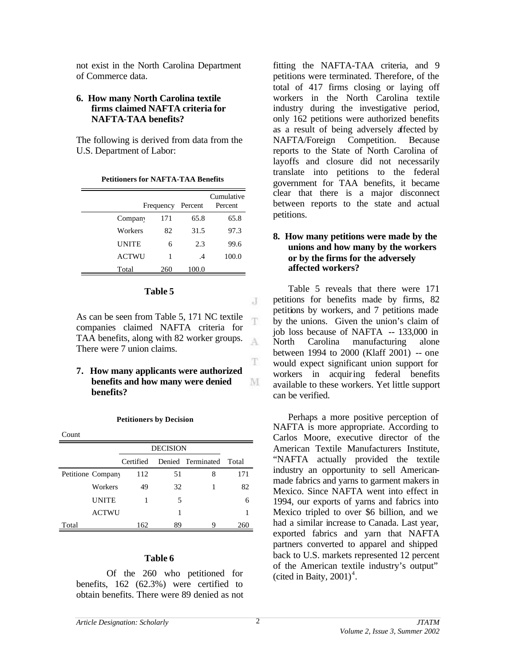not exist in the North Carolina Department of Commerce data.

# **6. How many North Carolina textile firms claimed NAFTA criteria for NAFTA-TAA benefits?**

The following is derived from data from the U.S. Department of Labor:

|                     | Frequency | Percent   | Cumulative<br>Percent |
|---------------------|-----------|-----------|-----------------------|
| Compan <sup>v</sup> | 171       | 65.8      | 65.8                  |
| Workers             | 82        | 31.5      | 97.3                  |
| <b>UNITE</b>        | 6         | 2.3       | 99.6                  |
| <b>ACTWU</b>        | 1         | $\cdot$ 4 | 100.0                 |
| Total               | 260       | 100.0     |                       |

**Petitioners for NAFTA-TAA Benefits**

### **Table 5**

As can be seen from Table 5, 171 NC textile companies claimed NAFTA criteria for TAA benefits, along with 82 worker groups. A There were 7 union claims.

**7. How many applicants were authorized benefits and how many were denied benefits?**

#### **Petitioners by Decision**

|       |                   | <b>DECISION</b> |    |                   |       |
|-------|-------------------|-----------------|----|-------------------|-------|
|       |                   | Certified       |    | Denied Terminated | Total |
|       | Petitione Company | 112             | 51 | 8                 | 171   |
|       | Workers           | 49              | 32 |                   | 82    |
|       | <b>UNITE</b>      |                 | 5  |                   | 6     |
|       | <b>ACTWU</b>      |                 |    |                   |       |
| Total |                   | 162             | 89 |                   | 260   |

#### **Table 6**

Of the 260 who petitioned for benefits, 162 (62.3%) were certified to obtain benefits. There were 89 denied as not fitting the NAFTA-TAA criteria, and 9 petitions were terminated. Therefore, of the total of 417 firms closing or laying off workers in the North Carolina textile industry during the investigative period, only 162 petitions were authorized benefits as a result of being adversely affected by NAFTA/Foreign Competition. Because reports to the State of North Carolina of layoffs and closure did not necessarily translate into petitions to the federal government for TAA benefits, it became clear that there is a major disconnect between reports to the state and actual petitions.

## **8. How many petitions were made by the unions and how many by the workers or by the firms for the adversely affected workers?**

Table 5 reveals that there were 171 petitions for benefits made by firms, 82 petitions by workers, and 7 petitions made by the unions. Given the union's claim of job loss because of NAFTA -- 133,000 in North Carolina manufacturing alone between 1994 to 2000 (Klaff 2001) -- one would expect significant union support for workers in acquiring federal benefits available to these workers. Yet little support can be verified.

Perhaps a more positive perception of NAFTA is more appropriate. According to Carlos Moore, executive director of the American Textile Manufacturers Institute, "NAFTA actually provided the textile industry an opportunity to sell Americanmade fabrics and yarns to garment makers in Mexico. Since NAFTA went into effect in 1994, our exports of yarns and fabrics into Mexico tripled to over \$6 billion, and we had a similar increase to Canada. Last year, exported fabrics and yarn that NAFTA partners converted to apparel and shipped back to U.S. markets represented 12 percent of the American textile industry's output" (cited in Baity,  $2001$ )<sup>4</sup>.

J

T.

T.

M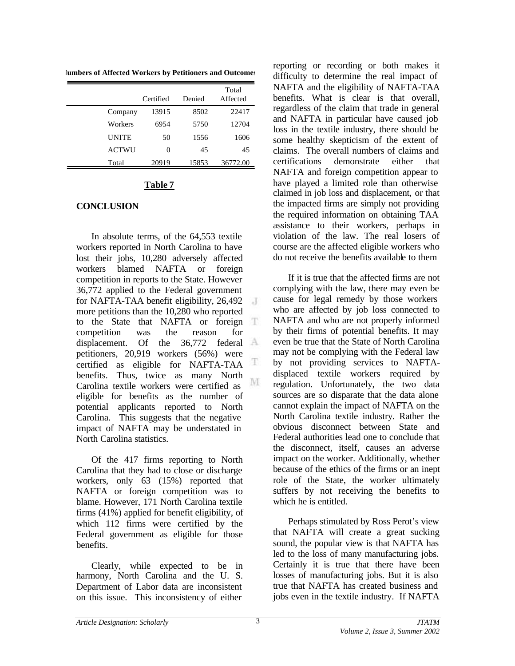**Numbers of Affected Workers by Petitioners and Outcomes**

|              | Certified | Denied | Total<br>Affected |
|--------------|-----------|--------|-------------------|
| Company      | 13915     | 8502   | 22417             |
| Workers      | 6954      | 5750   | 12704             |
| <b>UNITE</b> | 50        | 1556   | 1606              |
| ACTWU        | 0         | 45     | 45                |
| Total        | 20919     | 15853  | 36772.00          |

# **Table 7**

# **CONCLUSION**

In absolute terms, of the 64,553 textile workers reported in North Carolina to have lost their jobs, 10,280 adversely affected workers blamed NAFTA or foreign competition in reports to the State. However 36,772 applied to the Federal government for NAFTA-TAA benefit eligibility, 26,492 J more petitions than the 10,280 who reported to the State that NAFTA or foreign competition was the reason for displacement. Of the 36,772 federal petitioners, 20,919 workers (56%) were T certified as eligible for NAFTA-TAA benefits. Thus, twice as many North M Carolina textile workers were certified as eligible for benefits as the number of potential applicants reported to North Carolina. This suggests that the negative impact of NAFTA may be understated in North Carolina statistics.

Of the 417 firms reporting to North Carolina that they had to close or discharge workers, only 63 (15%) reported that NAFTA or foreign competition was to blame. However, 171 North Carolina textile firms (41%) applied for benefit eligibility, of which 112 firms were certified by the Federal government as eligible for those benefits.

Clearly, while expected to be in harmony, North Carolina and the U. S. Department of Labor data are inconsistent on this issue. This inconsistency of either

reporting or recording or both makes it difficulty to determine the real impact of NAFTA and the eligibility of NAFTA-TAA benefits. What is clear is that overall, regardless of the claim that trade in general and NAFTA in particular have caused job loss in the textile industry, there should be some healthy skepticism of the extent of claims. The overall numbers of claims and certifications demonstrate either that NAFTA and foreign competition appear to have played a limited role than otherwise claimed in job loss and displacement, or that the impacted firms are simply not providing the required information on obtaining TAA assistance to their workers, perhaps in violation of the law. The real losers of course are the affected eligible workers who do not receive the benefits available to them

If it is true that the affected firms are not complying with the law, there may even be cause for legal remedy by those workers who are affected by job loss connected to NAFTA and who are not properly informed by their firms of potential benefits. It may even be true that the State of North Carolina may not be complying with the Federal law by not providing services to NAFTAdisplaced textile workers required by regulation. Unfortunately, the two data sources are so disparate that the data alone cannot explain the impact of NAFTA on the North Carolina textile industry. Rather the obvious disconnect between State and Federal authorities lead one to conclude that the disconnect, itself, causes an adverse impact on the worker. Additionally, whether because of the ethics of the firms or an inept role of the State, the worker ultimately suffers by not receiving the benefits to which he is entitled.

Perhaps stimulated by Ross Perot's view that NAFTA will create a great sucking sound, the popular view is that NAFTA has led to the loss of many manufacturing jobs. Certainly it is true that there have been losses of manufacturing jobs. But it is also true that NAFTA has created business and jobs even in the textile industry. If NAFTA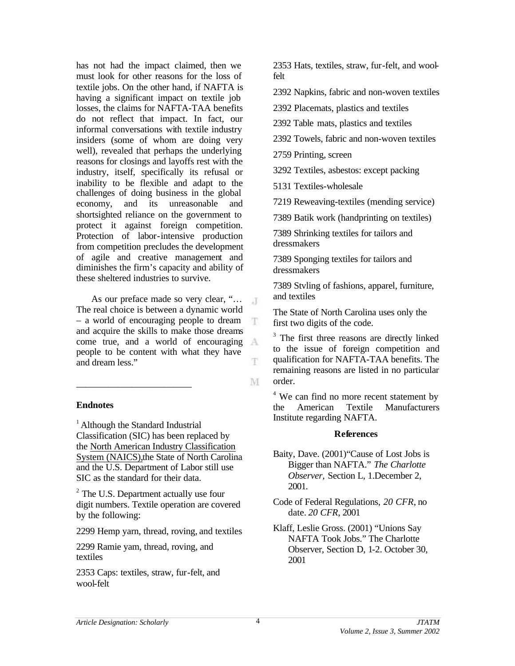has not had the impact claimed, then we must look for other reasons for the loss of textile jobs. On the other hand, if NAFTA is having a significant impact on textile job losses, the claims for NAFTA-TAA benefits do not reflect that impact. In fact, our informal conversations with textile industry insiders (some of whom are doing very well), revealed that perhaps the underlying reasons for closings and layoffs rest with the industry, itself, specifically its refusal or inability to be flexible and adapt to the challenges of doing business in the global economy, and its unreasonable and shortsighted reliance on the government to protect it against foreign competition. Protection of labor-intensive production from competition precludes the development of agile and creative management and diminishes the firm's capacity and ability of these sheltered industries to survive.

As our preface made so very clear, "…  $-1$ The real choice is between a dynamic world – a world of encouraging people to dream and acquire the skills to make those dreams come true, and a world of encouraging people to be content with what they have and dream less."

 $\_$ 

## **Endnotes**

<sup>1</sup> Although the Standard Industrial Classification (SIC) has been replaced by the North American Industry Classification System (NAICS),the State of North Carolina and the U.S. Department of Labor still use SIC as the standard for their data.

<sup>2</sup> The U.S. Department actually use four digit numbers. Textile operation are covered by the following:

2299 Hemp yarn, thread, roving, and textiles

2299 Ramie yam, thread, roving, and textiles

2353 Caps: textiles, straw, fur-felt, and wool-felt

2353 Hats, textiles, straw, fur-felt, and woolfelt

2392 Napkins, fabric and non-woven textiles

2392 Placemats, plastics and textiles

2392 Table mats, plastics and textiles

2392 Towels, fabric and non-woven textiles

2759 Printing, screen

3292 Textiles, asbestos: except packing

5131 Textiles-wholesale

7219 Reweaving-textiles (mending service)

7389 Batik work (handprinting on textiles)

7389 Shrinking textiles for tailors and dressmakers

7389 Sponging textiles for tailors and dressmakers

7389 Stvling of fashions, apparel, furniture, and textiles

The State of North Carolina uses only the first two digits of the code.

<sup>3</sup> The first three reasons are directly linked to the issue of foreign competition and qualification for NAFTA-TAA benefits. The remaining reasons are listed in no particular order.

<sup>4</sup> We can find no more recent statement by the American Textile Manufacturers Institute regarding NAFTA.

### **References**

- Baity, Dave. (2001)"Cause of Lost Jobs is Bigger than NAFTA." *The Charlotte Observer,* Section L, 1.December 2, 2001.
- Code of Federal Regulations, *20 CFR*, no date. *20 CFR*, 2001
- Klaff, Leslie Gross. (2001) "Unions Say NAFTA Took Jobs." The Charlotte Observer, Section D, 1-2. October 30, 2001

Ŧ

T.

M.